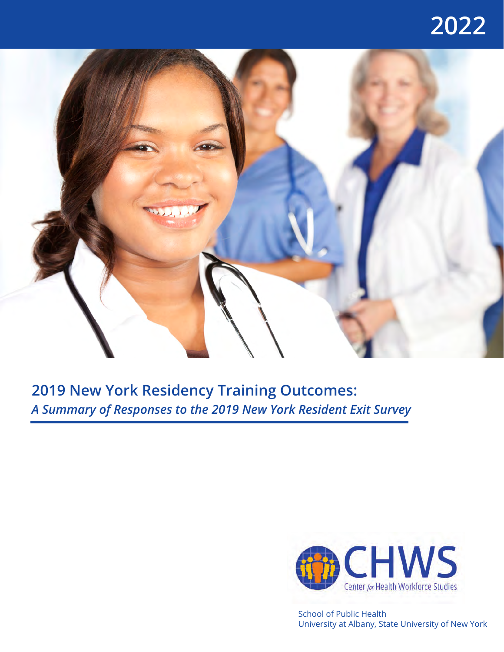## **2022**



## **2019 New York Residency Training Outcomes:** *A Summary of Responses to the 2019 New York Resident Exit Survey*



School of Public Health University at Albany, State University of New York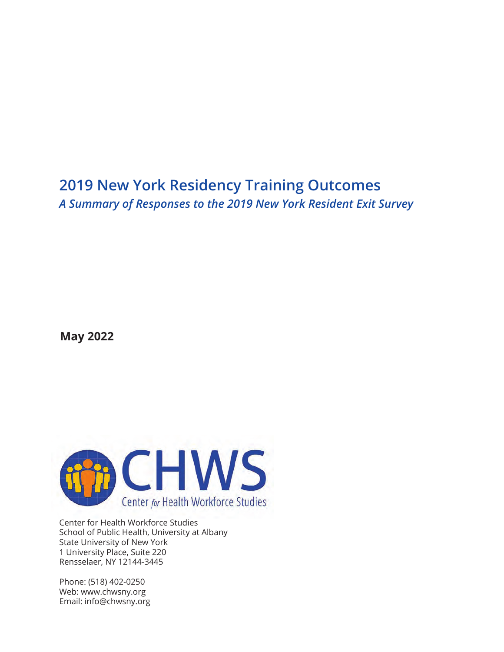### **2019 New York Residency Training Outcomes** *A Summary of Responses to the 2019 New York Resident Exit Survey*

**May 2022**



Center for Health Workforce Studies School of Public Health, University at Albany State University of New York 1 University Place, Suite 220 Rensselaer, NY 12144-3445

Phone: (518) 402-0250 Web: www.chwsny.org Email: info@chwsny.org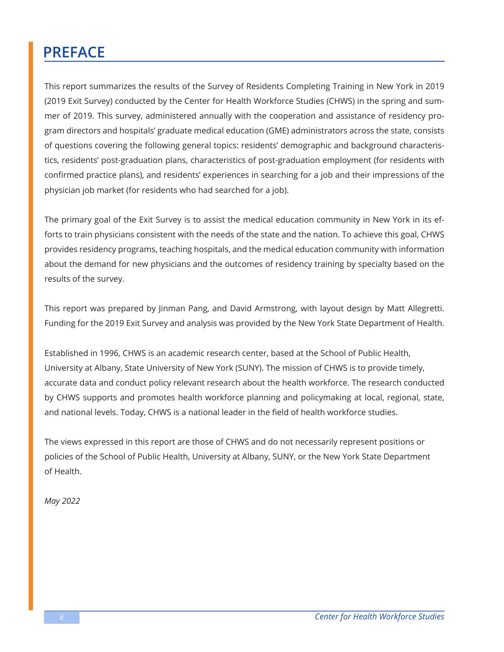## **PREFACE**

This report summarizes the results of the Survey of Residents Completing Training in New York in 2019 (2019 Exit Survey) conducted by the Center for Health Workforce Studies (CHWS) in the spring and summer of 2019. This survey, administered annually with the cooperation and assistance of residency program directors and hospitals' graduate medical education (GME) administrators across the state, consists of questions covering the following general topics: residents' demographic and background characteristics, residents' post-graduation plans, characteristics of post-graduation employment (for residents with confirmed practice plans), and residents' experiences in searching for a job and their impressions of the physician job market (for residents who had searched for a job).

The primary goal of the Exit Survey is to assist the medical education community in New York in its efforts to train physicians consistent with the needs of the state and the nation. To achieve this goal, CHWS provides residency programs, teaching hospitals, and the medical education community with information about the demand for new physicians and the outcomes of residency training by specialty based on the results of the survey.

This report was prepared by Jinman Pang, and David Armstrong, with layout design by Matt Allegretti. Funding for the 2019 Exit Survey and analysis was provided by the New York State Department of Health.

Established in 1996, CHWS is an academic research center, based at the School of Public Health, University at Albany, State University of New York (SUNY). The mission of CHWS is to provide timely, accurate data and conduct policy relevant research about the health workforce. The research conducted by CHWS supports and promotes health workforce planning and policymaking at local, regional, state, and national levels. Today, CHWS is a national leader in the field of health workforce studies.

The views expressed in this report are those of CHWS and do not necessarily represent positions or policies of the School of Public Health, University at Albany, SUNY, or the New York State Department of Health.

*May 2022*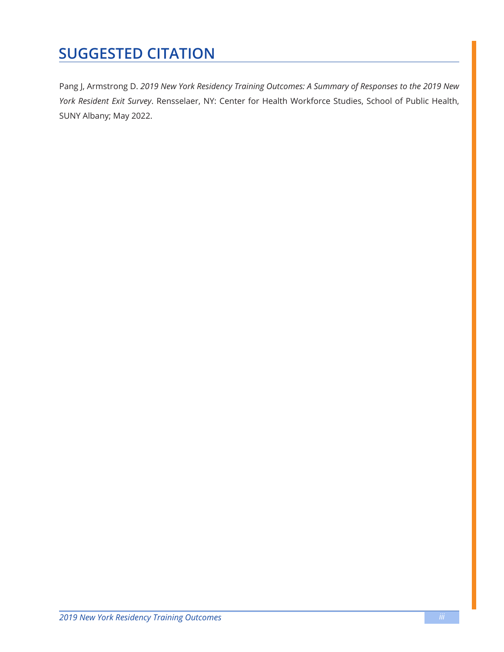## **SUGGESTED CITATION**

Pang J, Armstrong D. *2019 New York Residency Training Outcomes: A Summary of Responses to the 2019 New York Resident Exit Survey*. Rensselaer, NY: Center for Health Workforce Studies, School of Public Health, SUNY Albany; May 2022.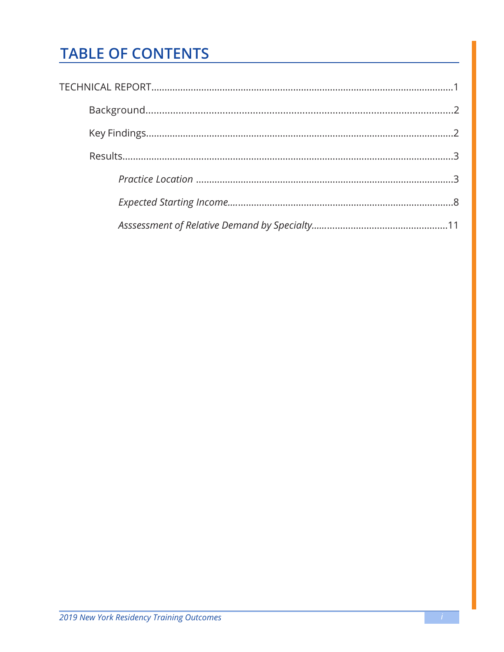## <span id="page-5-0"></span>**TABLE OF CONTENTS**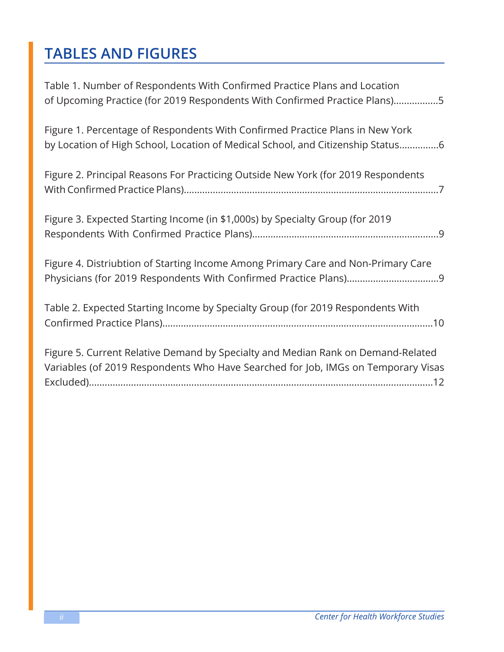## <span id="page-6-0"></span>**TABLES AND FIGURES**

| Table 1. Number of Respondents With Confirmed Practice Plans and Location<br>of Upcoming Practice (for 2019 Respondents With Confirmed Practice Plans)5               |
|-----------------------------------------------------------------------------------------------------------------------------------------------------------------------|
| Figure 1. Percentage of Respondents With Confirmed Practice Plans in New York<br>by Location of High School, Location of Medical School, and Citizenship Status6      |
| Figure 2. Principal Reasons For Practicing Outside New York (for 2019 Respondents                                                                                     |
| Figure 3. Expected Starting Income (in \$1,000s) by Specialty Group (for 2019                                                                                         |
| Figure 4. Distriubtion of Starting Income Among Primary Care and Non-Primary Care                                                                                     |
| Table 2. Expected Starting Income by Specialty Group (for 2019 Respondents With                                                                                       |
| Figure 5. Current Relative Demand by Specialty and Median Rank on Demand-Related<br>Variables (of 2019 Respondents Who Have Searched for Job, IMGs on Temporary Visas |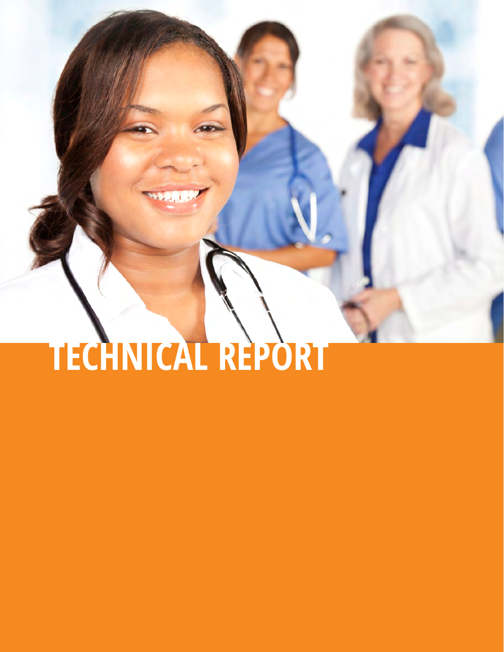# **[TECHNICAL REPORT](#page-5-0)**

<span id="page-7-0"></span> $22.14$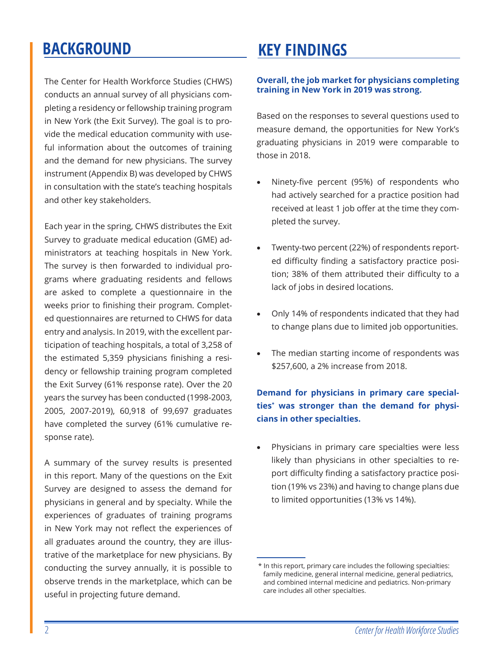## <span id="page-8-0"></span>**[BACKGROUND](#page-5-0)**

The Center for Health Workforce Studies (CHWS) conducts an annual survey of all physicians completing a residency or fellowship training program in New York (the Exit Survey). The goal is to provide the medical education community with useful information about the outcomes of training and the demand for new physicians. The survey instrument (Appendix B) was developed by CHWS in consultation with the state's teaching hospitals and other key stakeholders.

Each year in the spring, CHWS distributes the Exit Survey to graduate medical education (GME) administrators at teaching hospitals in New York. The survey is then forwarded to individual programs where graduating residents and fellows are asked to complete a questionnaire in the weeks prior to finishing their program. Completed questionnaires are returned to CHWS for data entry and analysis. In 2019, with the excellent participation of teaching hospitals, a total of 3,258 of the estimated 5,359 physicians finishing a residency or fellowship training program completed the Exit Survey (61% response rate). Over the 20 years the survey has been conducted (1998-2003, 2005, 2007-2019), 60,918 of 99,697 graduates have completed the survey (61% cumulative response rate).

A summary of the survey results is presented in this report. Many of the questions on the Exit Survey are designed to assess the demand for physicians in general and by specialty. While the experiences of graduates of training programs in New York may not reflect the experiences of all graduates around the country, they are illustrative of the marketplace for new physicians. By conducting the survey annually, it is possible to observe trends in the marketplace, which can be useful in projecting future demand.

## **[KEY FINDINGS](#page-5-0)**

#### **Overall, the job market for physicians completing training in New York in 2019 was strong.**

Based on the responses to several questions used to measure demand, the opportunities for New York's graduating physicians in 2019 were comparable to those in 2018.

- Ninety-five percent (95%) of respondents who had actively searched for a practice position had received at least 1 job offer at the time they completed the survey.
- Twenty-two percent (22%) of respondents reported difficulty finding a satisfactory practice position; 38% of them attributed their difficulty to a lack of jobs in desired locations.
- Only 14% of respondents indicated that they had to change plans due to limited job opportunities.
- The median starting income of respondents was \$257,600, a 2% increase from 2018.

#### **Demand for physicians in primary care specialties\* was stronger than the demand for physicians in other specialties.**

Physicians in primary care specialties were less likely than physicians in other specialties to report difficulty finding a satisfactory practice position (19% vs 23%) and having to change plans due to limited opportunities (13% vs 14%).

<sup>\*</sup> In this report, primary care includes the following specialties: family medicine, general internal medicine, general pediatrics, and combined internal medicine and pediatrics. Non-primary care includes all other specialties.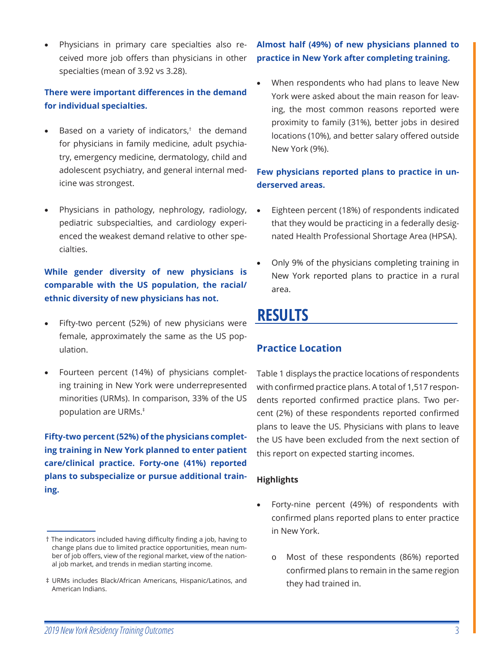<span id="page-9-0"></span>Physicians in primary care specialties also received more job offers than physicians in other specialties (mean of 3.92 vs 3.28).

#### **There were important differences in the demand for individual specialties.**

- Based on a variety of indicators, $^{\dagger}$  the demand for physicians in family medicine, adult psychiatry, emergency medicine, dermatology, child and adolescent psychiatry, and general internal medicine was strongest.
- Physicians in pathology, nephrology, radiology, pediatric subspecialties, and cardiology experienced the weakest demand relative to other specialties.

#### **While gender diversity of new physicians is comparable with the US population, the racial/ ethnic diversity of new physicians has not.**

- Fifty-two percent (52%) of new physicians were female, approximately the same as the US population.
- Fourteen percent (14%) of physicians completing training in New York were underrepresented minorities (URMs). In comparison, 33% of the US population are URMs.‡

**Fifty-two percent (52%) of the physicians completing training in New York planned to enter patient care/clinical practice. Forty-one (41%) reported plans to subspecialize or pursue additional training.**

#### **Almost half (49%) of new physicians planned to practice in New York after completing training.**

When respondents who had plans to leave New York were asked about the main reason for leaving, the most common reasons reported were proximity to family (31%), better jobs in desired locations (10%), and better salary offered outside New York (9%).

#### **Few physicians reported plans to practice in underserved areas.**

- Eighteen percent (18%) of respondents indicated that they would be practicing in a federally designated Health Professional Shortage Area (HPSA).
- Only 9% of the physicians completing training in New York reported plans to practice in a rural area.

## **[RESULTS](#page-5-0)**

#### **[Practice Location](#page-5-0)**

Table 1 displays the practice locations of respondents with confirmed practice plans. A total of 1,517 respondents reported confirmed practice plans. Two percent (2%) of these respondents reported confirmed plans to leave the US. Physicians with plans to leave the US have been excluded from the next section of this report on expected starting incomes.

#### **Highlights**

- Forty-nine percent (49%) of respondents with confirmed plans reported plans to enter practice in New York.
	- o Most of these respondents (86%) reported confirmed plans to remain in the same region they had trained in.

<sup>†</sup> The indicators included having difficulty finding a job, having to change plans due to limited practice opportunities, mean number of job offers, view of the regional market, view of the national job market, and trends in median starting income.

<sup>‡</sup> URMs includes Black/African Americans, Hispanic/Latinos, and American Indians.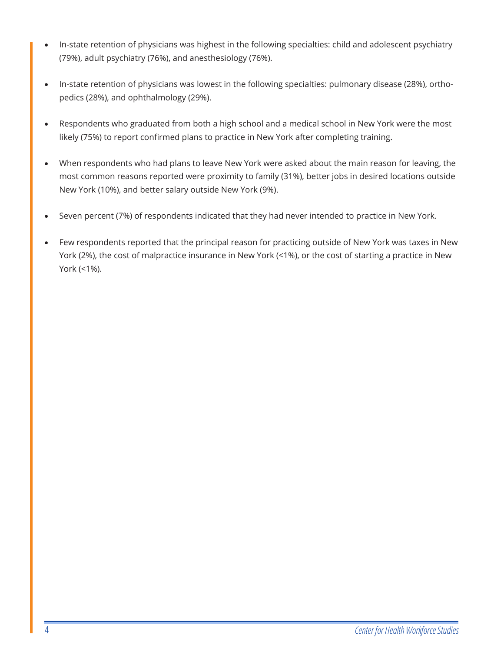- In-state retention of physicians was highest in the following specialties: child and adolescent psychiatry (79%), adult psychiatry (76%), and anesthesiology (76%).
- In-state retention of physicians was lowest in the following specialties: pulmonary disease (28%), orthopedics (28%), and ophthalmology (29%).
- Respondents who graduated from both a high school and a medical school in New York were the most likely (75%) to report confirmed plans to practice in New York after completing training.
- When respondents who had plans to leave New York were asked about the main reason for leaving, the most common reasons reported were proximity to family (31%), better jobs in desired locations outside New York (10%), and better salary outside New York (9%).
- Seven percent (7%) of respondents indicated that they had never intended to practice in New York.
- Few respondents reported that the principal reason for practicing outside of New York was taxes in New York (2%), the cost of malpractice insurance in New York (<1%), or the cost of starting a practice in New York (<1%).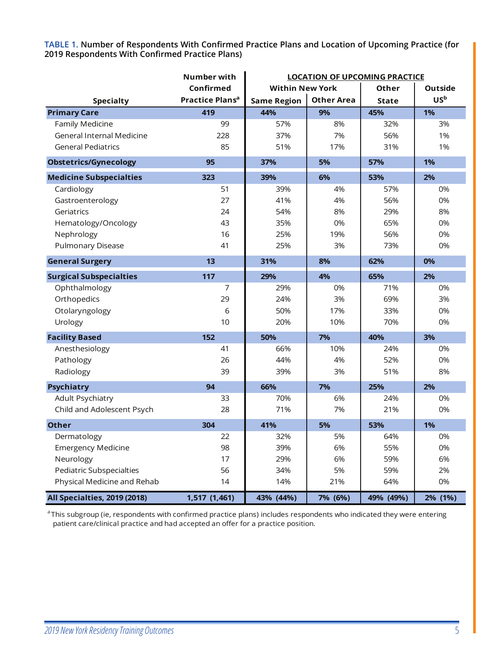<span id="page-11-0"></span>**TABLE 1. [Number of Respondents With Confirmed Practice Plans and Location of Upcoming Practice \(for](#page-6-0)  2019 Respondents With Confirmed Practice Plans)**

|                                  | <b>Number with</b>          | <b>LOCATION OF UPCOMING PRACTICE</b> |                   |              |                 |
|----------------------------------|-----------------------------|--------------------------------------|-------------------|--------------|-----------------|
|                                  | Confirmed                   | <b>Within New York</b>               |                   | Other        | <b>Outside</b>  |
| <b>Specialty</b>                 | Practice Plans <sup>a</sup> | <b>Same Region</b>                   | <b>Other Area</b> | <b>State</b> | US <sub>b</sub> |
| <b>Primary Care</b>              | 419                         | 44%                                  | 9%                | 45%          | 1%              |
| Family Medicine                  | 99                          | 57%                                  | 8%                | 32%          | 3%              |
| <b>General Internal Medicine</b> | 228                         | 37%                                  | 7%                | 56%          | 1%              |
| <b>General Pediatrics</b>        | 85                          | 51%                                  | 17%               | 31%          | 1%              |
| <b>Obstetrics/Gynecology</b>     | 95                          | 37%                                  | 5%                | 57%          | 1%              |
| <b>Medicine Subspecialties</b>   | 323                         | 39%                                  | 6%                | 53%          | 2%              |
| Cardiology                       | 51                          | 39%                                  | 4%                | 57%          | 0%              |
| Gastroenterology                 | 27                          | 41%                                  | 4%                | 56%          | 0%              |
| Geriatrics                       | 24                          | 54%                                  | 8%                | 29%          | 8%              |
| Hematology/Oncology              | 43                          | 35%                                  | 0%                | 65%          | 0%              |
| Nephrology                       | 16                          | 25%                                  | 19%               | 56%          | 0%              |
| <b>Pulmonary Disease</b>         | 41                          | 25%                                  | 3%                | 73%          | 0%              |
| <b>General Surgery</b>           | 13                          | 31%                                  | 8%                | 62%          | 0%              |
| <b>Surgical Subspecialties</b>   | 117                         | 29%                                  | 4%                | 65%          | 2%              |
| Ophthalmology                    | 7                           | 29%                                  | 0%                | 71%          | 0%              |
| Orthopedics                      | 29                          | 24%                                  | 3%                | 69%          | 3%              |
| Otolaryngology                   | 6                           | 50%                                  | 17%               | 33%          | 0%              |
| Urology                          | 10                          | 20%                                  | 10%               | 70%          | 0%              |
| <b>Facility Based</b>            | 152                         | 50%                                  | 7%                | 40%          | 3%              |
| Anesthesiology                   | 41                          | 66%                                  | 10%               | 24%          | 0%              |
| Pathology                        | 26                          | 44%                                  | 4%                | 52%          | 0%              |
| Radiology                        | 39                          | 39%                                  | 3%                | 51%          | 8%              |
| <b>Psychiatry</b>                | 94                          | 66%                                  | 7%                | 25%          | 2%              |
| Adult Psychiatry                 | 33                          | 70%                                  | 6%                | 24%          | 0%              |
| Child and Adolescent Psych       | 28                          | 71%                                  | 7%                | 21%          | 0%              |
| <b>Other</b>                     | 304                         | 41%                                  | 5%                | 53%          | 1%              |
| Dermatology                      | 22                          | 32%                                  | 5%                | 64%          | 0%              |
| <b>Emergency Medicine</b>        | 98                          | 39%                                  | 6%                | 55%          | 0%              |
| Neurology                        | 17                          | 29%                                  | 6%                | 59%          | 6%              |
| <b>Pediatric Subspecialties</b>  | 56                          | 34%                                  | 5%                | 59%          | 2%              |
| Physical Medicine and Rehab      | 14                          | 14%                                  | 21%               | 64%          | 0%              |
| All Specialties, 2019 (2018)     | 1,517 (1,461)               | 43% (44%)                            | 7% (6%)           | 49% (49%)    | 2% (1%)         |

<sup>a</sup> This subgroup (ie, respondents with confirmed practice plans) includes respondents who indicated they were entering patient care/clinical practice and had accepted an offer for a practice position.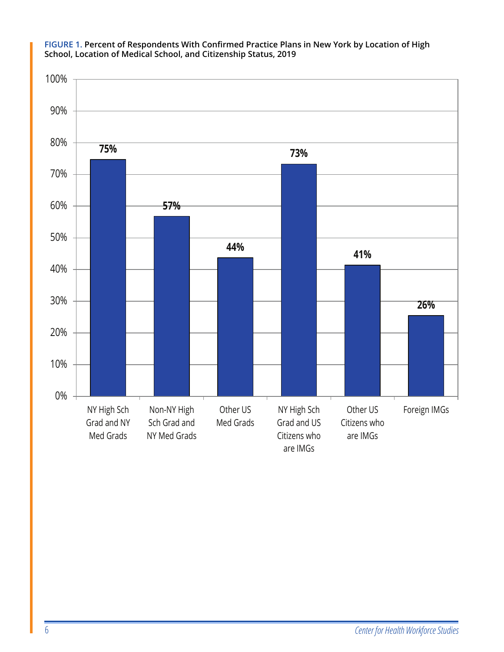

<span id="page-12-0"></span>**[FIGURE 1. Percent of Respondents With Confirmed Practice Plans in New York by Location of High](#page-6-0)  School, Location of Medical School, and Citizenship Status, 2019**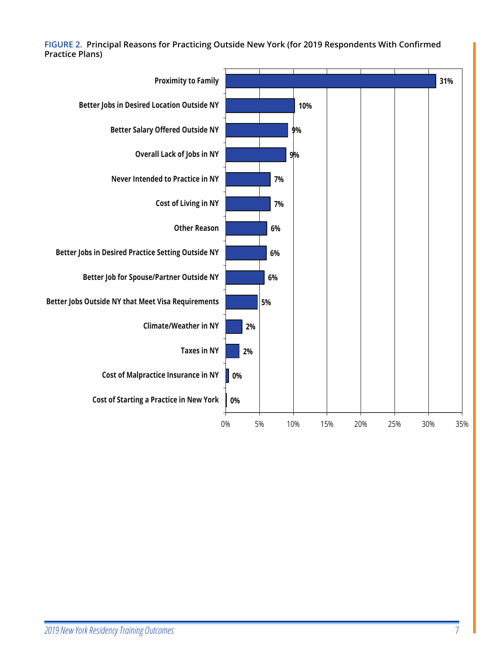<span id="page-13-0"></span>**[FIGURE 2. Principal Reasons for Practicing Outside New York \(for 2019 Respondents With Confirmed](#page-6-0)  Practice Plans)**

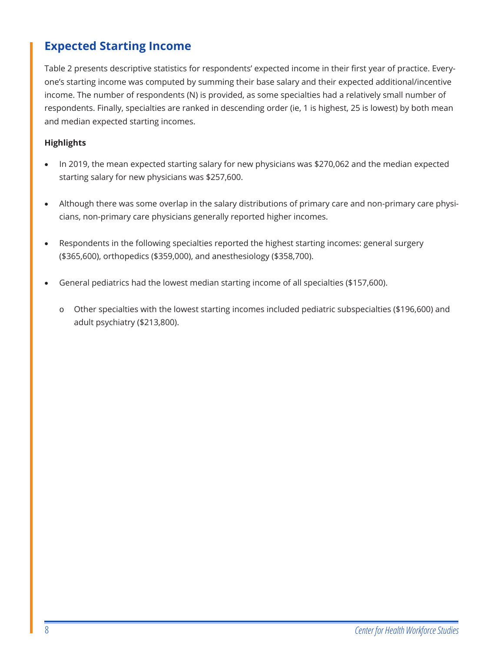#### <span id="page-14-0"></span>**[Expected Starting Income](#page-5-0)**

Table 2 presents descriptive statistics for respondents' expected income in their first year of practice. Everyone's starting income was computed by summing their base salary and their expected additional/incentive income. The number of respondents (N) is provided, as some specialties had a relatively small number of respondents. Finally, specialties are ranked in descending order (ie, 1 is highest, 25 is lowest) by both mean and median expected starting incomes.

#### **Highlights**

- In 2019, the mean expected starting salary for new physicians was \$270,062 and the median expected starting salary for new physicians was \$257,600.
- Although there was some overlap in the salary distributions of primary care and non-primary care physicians, non-primary care physicians generally reported higher incomes.
- Respondents in the following specialties reported the highest starting incomes: general surgery (\$365,600), orthopedics (\$359,000), and anesthesiology (\$358,700).
- General pediatrics had the lowest median starting income of all specialties (\$157,600).
	- o Other specialties with the lowest starting incomes included pediatric subspecialties (\$196,600) and adult psychiatry (\$213,800).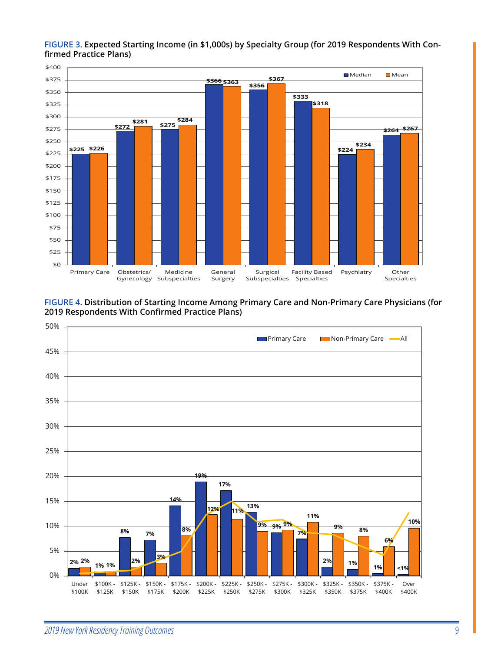

#### <span id="page-15-0"></span>**[FIGURE 3. Expected Starting Income \(in \\$1,000s\) by Specialty Group \(for 2019 Respondents With Con](#page-6-0)firmed Practice Plans)**

**[FIGURE 4. Distribution of Starting Income Among Primary Care and Non-Primary Care Physicians \(for](#page-6-0)  2019 Respondents With Confirmed Practice Plans)**

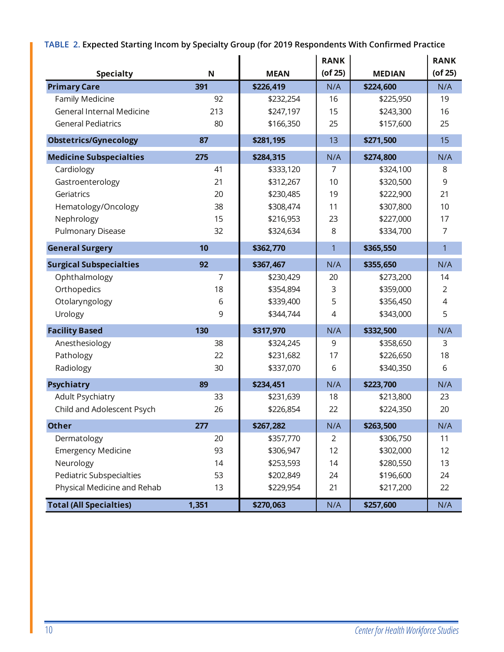<span id="page-16-0"></span>**TABLE 2. [Expected Starting Incom by Specialty Group \(for 2019 Respondents With Confirmed Practice](#page-6-0)**

|                                  |             |             | <b>RANK</b>    |               | <b>RANK</b>    |
|----------------------------------|-------------|-------------|----------------|---------------|----------------|
| <b>Specialty</b>                 | $\mathbf N$ | <b>MEAN</b> | $($ of 25 $)$  | <b>MEDIAN</b> | $($ of 25 $)$  |
| <b>Primary Care</b>              | 391         | \$226,419   | N/A            | \$224,600     | N/A            |
| Family Medicine                  | 92          | \$232,254   | 16             | \$225,950     | 19             |
| <b>General Internal Medicine</b> | 213         | \$247,197   | 15             | \$243,300     | 16             |
| <b>General Pediatrics</b>        | 80          | \$166,350   | 25             | \$157,600     | 25             |
| <b>Obstetrics/Gynecology</b>     | 87          | \$281,195   | 13             | \$271,500     | 15             |
| <b>Medicine Subspecialties</b>   | 275         | \$284,315   | N/A            | \$274,800     | N/A            |
| Cardiology                       | 41          | \$333,120   | 7              | \$324,100     | 8              |
| Gastroenterology                 | 21          | \$312,267   | 10             | \$320,500     | 9              |
| Geriatrics                       | 20          | \$230,485   | 19             | \$222,900     | 21             |
| Hematology/Oncology              | 38          | \$308,474   | 11             | \$307,800     | 10             |
| Nephrology                       | 15          | \$216,953   | 23             | \$227,000     | 17             |
| Pulmonary Disease                | 32          | \$324,634   | 8              | \$334,700     | $\overline{7}$ |
| <b>General Surgery</b>           | 10          | \$362,770   | $\mathbf{1}$   | \$365,550     | $\overline{1}$ |
| <b>Surgical Subspecialties</b>   | 92          | \$367,467   | N/A            | \$355,650     | N/A            |
| Ophthalmology                    | 7           | \$230,429   | 20             | \$273,200     | 14             |
| Orthopedics                      | 18          | \$354,894   | $\mathsf 3$    | \$359,000     | $\overline{2}$ |
| Otolaryngology                   | 6           | \$339,400   | 5              | \$356,450     | 4              |
| Urology                          | 9           | \$344,744   | 4              | \$343,000     | 5              |
| <b>Facility Based</b>            | 130         | \$317,970   | N/A            | \$332,500     | N/A            |
| Anesthesiology                   | 38          | \$324,245   | 9              | \$358,650     | 3              |
| Pathology                        | 22          | \$231,682   | 17             | \$226,650     | 18             |
| Radiology                        | 30          | \$337,070   | 6              | \$340,350     | 6              |
| <b>Psychiatry</b>                | 89          | \$234,451   | N/A            | \$223,700     | N/A            |
| Adult Psychiatry                 | 33          | \$231,639   | 18             | \$213,800     | 23             |
| Child and Adolescent Psych       | 26          | \$226,854   | 22             | \$224,350     | 20             |
| <b>Other</b>                     | 277         | \$267,282   | N/A            | \$263,500     | N/A            |
| Dermatology                      | 20          | \$357,770   | $\overline{2}$ | \$306,750     | 11             |
| <b>Emergency Medicine</b>        | 93          | \$306,947   | 12             | \$302,000     | 12             |
| Neurology                        | 14          | \$253,593   | 14             | \$280,550     | 13             |
| <b>Pediatric Subspecialties</b>  | 53          | \$202,849   | 24             | \$196,600     | 24             |
| Physical Medicine and Rehab      | 13          | \$229,954   | 21             | \$217,200     | 22             |
| <b>Total (All Specialties)</b>   | 1,351       | \$270,063   | N/A            | \$257,600     | N/A            |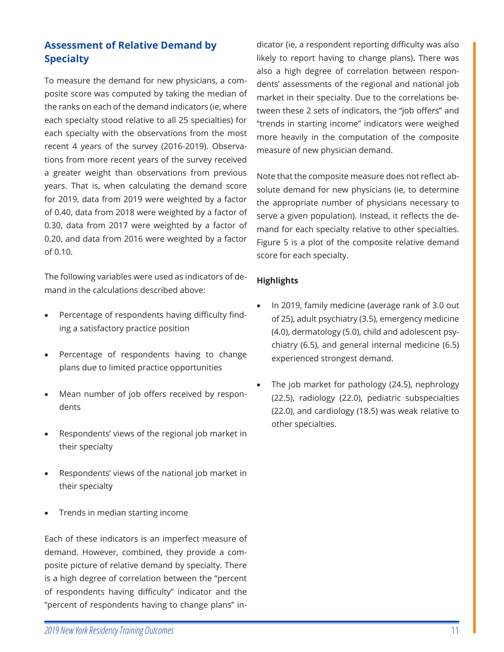#### <span id="page-17-0"></span>**[Assessment of Relative Demand by](#page-5-0)  Specialty**

To measure the demand for new physicians, a composite score was computed by taking the median of the ranks on each of the demand indicators (ie, where each specialty stood relative to all 25 specialties) for each specialty with the observations from the most recent 4 years of the survey (2016-2019). Observations from more recent years of the survey received a greater weight than observations from previous years. That is, when calculating the demand score for 2019, data from 2019 were weighted by a factor of 0.40, data from 2018 were weighted by a factor of 0.30, data from 2017 were weighted by a factor of 0.20, and data from 2016 were weighted by a factor of 0.10.

The following variables were used as indicators of demand in the calculations described above:

- Percentage of respondents having difficulty finding a satisfactory practice position
- Percentage of respondents having to change plans due to limited practice opportunities
- Mean number of job offers received by respondents
- Respondents' views of the regional job market in their specialty
- Respondents' views of the national job market in their specialty
- Trends in median starting income

Each of these indicators is an imperfect measure of demand. However, combined, they provide a composite picture of relative demand by specialty. There is a high degree of correlation between the "percent of respondents having difficulty" indicator and the "percent of respondents having to change plans" in-

dicator (ie, a respondent reporting difficulty was also likely to report having to change plans). There was also a high degree of correlation between respondents' assessments of the regional and national job market in their specialty. Due to the correlations between these 2 sets of indicators, the "job offers" and "trends in starting income" indicators were weighed more heavily in the computation of the composite measure of new physician demand.

Note that the composite measure does not reflect absolute demand for new physicians (ie, to determine the appropriate number of physicians necessary to serve a given population). Instead, it reflects the demand for each specialty relative to other specialties. Figure 5 is a plot of the composite relative demand score for each specialty.

#### **Highlights**

- In 2019, family medicine (average rank of 3.0 out of 25), adult psychiatry (3.5), emergency medicine (4.0), dermatology (5.0), child and adolescent psychiatry (6.5), and general internal medicine (6.5) experienced strongest demand.
- The job market for pathology (24.5), nephrology (22.5), radiology (22.0), pediatric subspecialties (22.0), and cardiology (18.5) was weak relative to other specialties.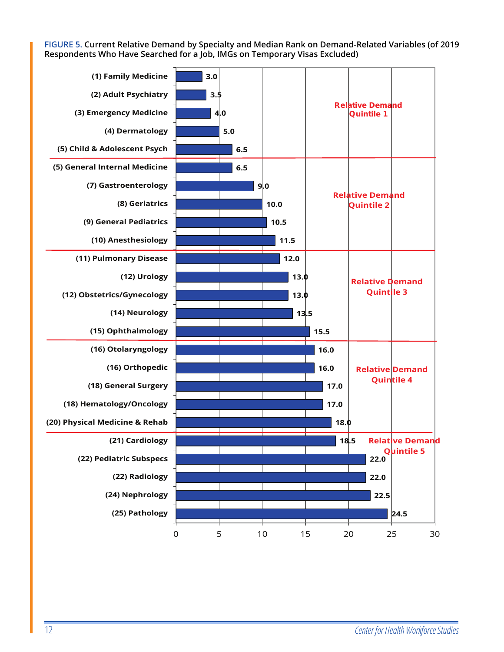<span id="page-18-0"></span>**[FIGURE 5. Current Relative Demand by Specialty and Median Rank on Demand-Related Variables \(of 2019](#page-6-0)  Respondents Who Have Searched for a Job, IMGs on Temporary Visas Excluded)**

| (1) Family Medicine            | 3.0                 |     |      |      |                                             |                        |
|--------------------------------|---------------------|-----|------|------|---------------------------------------------|------------------------|
| (2) Adult Psychiatry           | 3.5                 |     |      |      |                                             |                        |
| (3) Emergency Medicine         |                     | 4.0 |      |      | <b>Relative Demand</b><br><b>Quintile 1</b> |                        |
| (4) Dermatology                |                     | 5.0 |      |      |                                             |                        |
| (5) Child & Adolescent Psych   |                     | 6.5 |      |      |                                             |                        |
| (5) General Internal Medicine  |                     | 6.5 |      |      |                                             |                        |
| (7) Gastroenterology           |                     |     | 9.0  |      | <b>Relative Demand</b>                      |                        |
| (8) Geriatrics                 |                     |     | 10.0 |      | <b>Quintile 2</b>                           |                        |
| (9) General Pediatrics         |                     |     | 10.5 |      |                                             |                        |
| (10) Anesthesiology            |                     |     | 11.5 |      |                                             |                        |
| (11) Pulmonary Disease         |                     |     | 12.0 |      |                                             |                        |
| (12) Urology                   |                     |     | 13.0 |      | <b>Relative Demand</b>                      |                        |
| (12) Obstetrics/Gynecology     |                     |     | 13.0 |      | <b>Quintile 3</b>                           |                        |
| (14) Neurology                 |                     |     | 13.5 |      |                                             |                        |
| (15) Ophthalmology             |                     |     |      | 15.5 |                                             |                        |
| (16) Otolaryngology            |                     |     |      | 16.0 |                                             |                        |
| (16) Orthopedic                |                     |     |      | 16.0 |                                             | <b>Relative Demand</b> |
| (18) General Surgery           |                     |     |      | 17.0 |                                             | <b>Quintile 4</b>      |
| (18) Hematology/Oncology       |                     |     |      | 17.0 |                                             |                        |
| (20) Physical Medicine & Rehab |                     |     |      | 18.0 |                                             |                        |
| (21) Cardiology                |                     |     |      |      | 18.5                                        | <b>Relative Demand</b> |
| (22) Pediatric Subspecs        |                     |     |      |      | 22.0                                        | <b>Quintile 5</b>      |
| (22) Radiology                 |                     |     |      |      | 22.0                                        |                        |
| (24) Nephrology                |                     |     |      |      | 22.5                                        |                        |
| (25) Pathology                 |                     |     |      |      |                                             | 24.5                   |
|                                | $\mathsf{O}\xspace$ | 5   | $10$ | 15   | 20                                          | 25<br>30               |